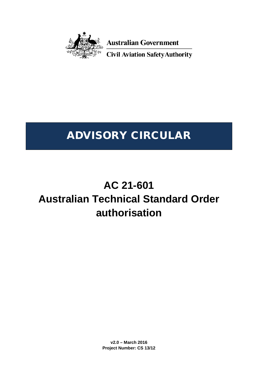

**Australian Government** 

**Civil Aviation Safety Authority** 

# ADVISORY CIRCULAR

# **AC 21-601 Australian Technical Standard Order authorisation**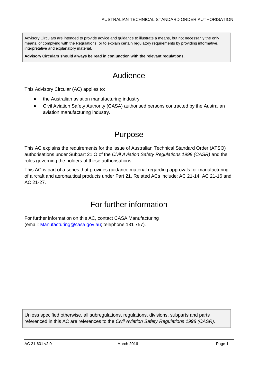Advisory Circulars are intended to provide advice and guidance to illustrate a means, but not necessarily the only means, of complying with the Regulations, or to explain certain regulatory requirements by providing informative, interpretative and explanatory material.

**Advisory Circulars should always be read in conjunction with the relevant regulations.**

# Audience

This Advisory Circular (AC) applies to:

- the Australian aviation manufacturing industry
- Civil Aviation Safety Authority (CASA) authorised persons contracted by the Australian aviation manufacturing industry.

### Purpose

This AC explains the requirements for the issue of Australian Technical Standard Order (ATSO) authorisations under Subpart 21.O of the *Civil Aviation Safety Regulations 1998 (CASR)* and the rules governing the holders of these authorisations.

This AC is part of a series that provides guidance material regarding approvals for manufacturing of aircraft and aeronautical products under Part 21. Related ACs include: AC 21-14, AC 21-16 and AC 21-27.

### For further information

For further information on this AC, contact CASA Manufacturing (email: [Manufacturing@casa.gov.au;](mailto:Manufacturing@casa.gov.au) telephone 131 757).

Unless specified otherwise, all subregulations, regulations, divisions, subparts and parts referenced in this AC are references to the *Civil Aviation Safety Regulations 1998 (CASR)*.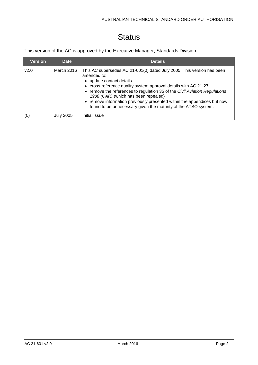# **Status**

This version of the AC is approved by the Executive Manager, Standards Division.

| <b>Version</b> | Date             | <b>Details</b>                                                                                                                                                                                                                                                                                                                                                                                                                                          |
|----------------|------------------|---------------------------------------------------------------------------------------------------------------------------------------------------------------------------------------------------------------------------------------------------------------------------------------------------------------------------------------------------------------------------------------------------------------------------------------------------------|
| v2.0           | March 2016       | This AC supersedes AC 21-601(0) dated July 2005. This version has been<br>amended to:<br>• update contact details<br>• cross-reference quality system approval details with AC 21-27<br>• remove the references to regulation 35 of the Civil Aviation Regulations<br>1988 (CAR) (which has been repealed)<br>• remove information previously presented within the appendices but now<br>found to be unnecessary given the maturity of the ATSO system. |
| (0)            | <b>July 2005</b> | Initial issue                                                                                                                                                                                                                                                                                                                                                                                                                                           |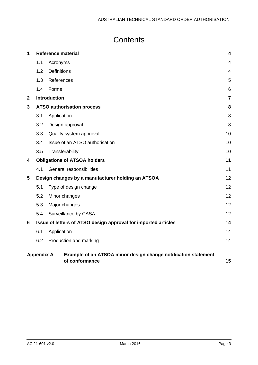# **Contents**

| 1            |                                   | <b>Reference material</b>                                                        |                |
|--------------|-----------------------------------|----------------------------------------------------------------------------------|----------------|
|              | 1.1                               | Acronyms                                                                         | $\overline{4}$ |
|              | 1.2                               | <b>Definitions</b>                                                               | 4              |
|              | 1.3                               | References                                                                       | 5              |
|              | 1.4                               | Forms                                                                            | 6              |
| $\mathbf{2}$ |                                   | <b>Introduction</b>                                                              | $\overline{7}$ |
| 3            | <b>ATSO authorisation process</b> |                                                                                  | 8              |
|              | 3.1                               | Application                                                                      | 8              |
|              | 3.2                               | Design approval                                                                  | 8              |
|              | 3.3                               | Quality system approval                                                          | 10             |
|              | 3.4                               | Issue of an ATSO authorisation                                                   | 10             |
|              | 3.5                               | Transferability                                                                  | 10             |
| 4            |                                   | <b>Obligations of ATSOA holders</b>                                              | 11             |
|              | 4.1                               | General responsibilities                                                         | 11             |
| 5            |                                   | Design changes by a manufacturer holding an ATSOA                                | 12             |
|              | 5.1                               | Type of design change                                                            | 12             |
|              | 5.2                               | Minor changes                                                                    | 12             |
|              | 5.3                               | Major changes                                                                    | 12             |
|              | 5.4                               | Surveillance by CASA                                                             | 12             |
| 6            |                                   | Issue of letters of ATSO design approval for imported articles                   | 14             |
|              | 6.1                               | Application                                                                      | 14             |
|              | 6.2                               | Production and marking                                                           | 14             |
|              | <b>Appendix A</b>                 | Example of an ATSOA minor design change notification statement<br>of conformance | 15             |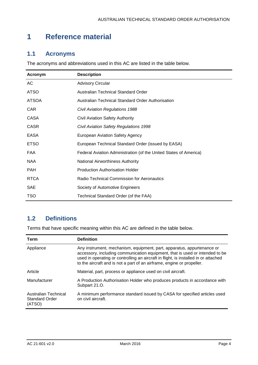# <span id="page-4-0"></span>**1 Reference material**

#### <span id="page-4-1"></span>**1.1 Acronyms**

The acronyms and abbreviations used in this AC are listed in the table below.

| Acronym      | <b>Description</b>                                                |
|--------------|-------------------------------------------------------------------|
| AC           | <b>Advisory Circular</b>                                          |
| <b>ATSO</b>  | <b>Australian Technical Standard Order</b>                        |
| <b>ATSOA</b> | Australian Technical Standard Order Authorisation                 |
| <b>CAR</b>   | Civil Aviation Regulations 1988                                   |
| CASA         | <b>Civil Aviation Safety Authority</b>                            |
| <b>CASR</b>  | Civil Aviation Safety Regulations 1998                            |
| EASA         | <b>European Aviation Safety Agency</b>                            |
| <b>ETSO</b>  | European Technical Standard Order (issued by EASA)                |
| FAA          | Federal Aviation Administration (of the United States of America) |
| <b>NAA</b>   | <b>National Airworthiness Authority</b>                           |
| <b>PAH</b>   | <b>Production Authorisation Holder</b>                            |
| <b>RTCA</b>  | <b>Radio Technical Commission for Aeronautics</b>                 |
| <b>SAE</b>   | Society of Automotive Engineers                                   |
| <b>TSO</b>   | Technical Standard Order (of the FAA)                             |

### <span id="page-4-2"></span>**1.2 Definitions**

Terms that have specific meaning within this AC are defined in the table below.

| Term                                                    | <b>Definition</b>                                                                                                                                                                                                                                                                                                       |
|---------------------------------------------------------|-------------------------------------------------------------------------------------------------------------------------------------------------------------------------------------------------------------------------------------------------------------------------------------------------------------------------|
| Appliance                                               | Any instrument, mechanism, equipment, part, apparatus, appurtenance or<br>accessory, including communication equipment, that is used or intended to be<br>used in operating or controlling an aircraft in flight, is installed in or attached<br>to the aircraft and is not a part of an airframe, engine or propeller. |
| Article                                                 | Material, part, process or appliance used on civil aircraft.                                                                                                                                                                                                                                                            |
| Manufacturer                                            | A Production Authorisation Holder who produces products in accordance with<br>Subpart 21.O.                                                                                                                                                                                                                             |
| Australian Technical<br><b>Standard Order</b><br>(ATSO) | A minimum performance standard issued by CASA for specified articles used<br>on civil aircraft.                                                                                                                                                                                                                         |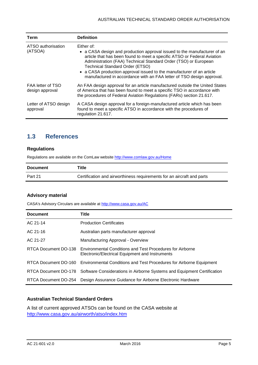| <b>Term</b>                          | <b>Definition</b>                                                                                                                                                                                                                                                                                                                                                                                                                |
|--------------------------------------|----------------------------------------------------------------------------------------------------------------------------------------------------------------------------------------------------------------------------------------------------------------------------------------------------------------------------------------------------------------------------------------------------------------------------------|
| ATSO authorisation<br>(ATSOA)        | Either of:<br>• a CASA design and production approval issued to the manufacturer of an<br>article that has been found to meet a specific ATSO or Federal Aviation<br>Administration (FAA) Technical Standard Order (TSO) or European<br><b>Technical Standard Order (ETSO)</b><br>• a CASA production approval issued to the manufacturer of an article<br>manufactured in accordance with an FAA letter of TSO design approval. |
| FAA letter of TSO<br>design approval | An FAA design approval for an article manufactured outside the United States<br>of America that has been found to meet a specific TSO in accordance with<br>the procedures of Federal Aviation Regulations (FARs) section 21.617.                                                                                                                                                                                                |
| Letter of ATSO design<br>approval    | A CASA design approval for a foreign-manufactured article which has been<br>found to meet a specific ATSO in accordance with the procedures of<br>regulation 21.617.                                                                                                                                                                                                                                                             |

### <span id="page-5-0"></span>**1.3 References**

#### **Regulations**

Regulations are available on the ComLaw websit[e http://www.comlaw.gov.au/Home](http://www.comlaw.gov.au/Home)

| <b>Document</b> | Title                                                                  |
|-----------------|------------------------------------------------------------------------|
| Part 21         | Certification and airworthiness requirements for an aircraft and parts |

#### **Advisory material**

CASA's Advisory Circulars are available at [http://www.casa.gov.au/AC](http://www.casa.gov.au/ACs)

| <b>Document</b>      | Title                                                                                                                             |
|----------------------|-----------------------------------------------------------------------------------------------------------------------------------|
| AC 21-14             | <b>Production Certificates</b>                                                                                                    |
| AC 21-16             | Australian parts manufacturer approval                                                                                            |
| AC 21-27             | Manufacturing Approval - Overview                                                                                                 |
|                      | RTCA Document DO-138 Environmental Conditions and Test Procedures for Airborne<br>Electronic/Electrical Equipment and Instruments |
|                      | RTCA Document DO-160 Environmental Conditions and Test Procedures for Airborne Equipment                                          |
|                      | RTCA Document DO-178 Software Considerations in Airborne Systems and Equipment Certification                                      |
| RTCA Document DO-254 | Design Assurance Guidance for Airborne Electronic Hardware                                                                        |

#### **Australian Technical Standard Orders**

A list of current approved ATSOs can be found on the CASA website at <http://www.casa.gov.au/airworth/atso/index.htm>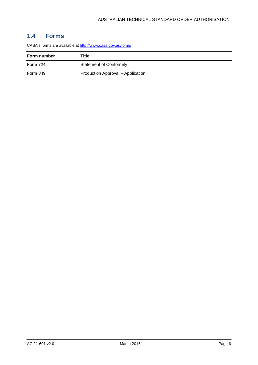### <span id="page-6-0"></span>**1.4 Forms**

CASA's forms are available a[t http://www.casa.gov.au/forms](http://www.casa.gov.au/forms)

| Form number | Title                             |
|-------------|-----------------------------------|
| Form 724    | <b>Statement of Conformity</b>    |
| Form 849    | Production Approval - Application |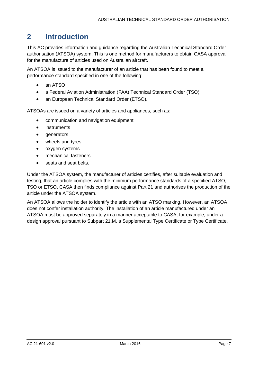## <span id="page-7-0"></span>**2 Introduction**

This AC provides information and guidance regarding the Australian Technical Standard Order authorisation (ATSOA) system. This is one method for manufacturers to obtain CASA approval for the manufacture of articles used on Australian aircraft.

An ATSOA is issued to the manufacturer of an article that has been found to meet a performance standard specified in one of the following:

- an ATSO
- a Federal Aviation Administration (FAA) Technical Standard Order (TSO)
- an European Technical Standard Order (ETSO).

ATSOAs are issued on a variety of articles and appliances, such as:

- communication and navigation equipment
- **instruments**
- generators
- wheels and tyres
- oxygen systems
- mechanical fasteners
- seats and seat belts.

Under the ATSOA system, the manufacturer of articles certifies, after suitable evaluation and testing, that an article complies with the minimum performance standards of a specified ATSO, TSO or ETSO. CASA then finds compliance against Part 21 and authorises the production of the article under the ATSOA system.

An ATSOA allows the holder to identify the article with an ATSO marking. However, an ATSOA does not confer installation authority. The installation of an article manufactured under an ATSOA must be approved separately in a manner acceptable to CASA; for example, under a design approval pursuant to Subpart 21.M, a Supplemental Type Certificate or Type Certificate.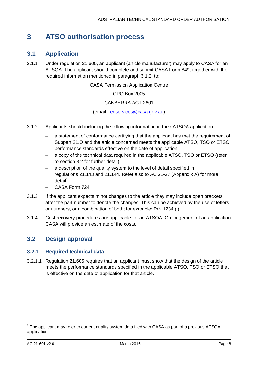### <span id="page-8-0"></span>**3 ATSO authorisation process**

### <span id="page-8-1"></span>**3.1 Application**

3.1.1 Under regulation 21.605, an applicant (article manufacturer) may apply to CASA for an ATSOA. The applicant should complete and submit CASA Form 849, together with the required information mentioned in paragraph [3.1.2,](#page-8-3) to:

CASA Permission Application Centre

GPO Box 2005

#### CANBERRA ACT 2601

(email: [regservices@casa.gov.au\)](mailto:regservices@casa.gov.au)

- <span id="page-8-3"></span>3.1.2 Applicants should including the following information in their ATSOA application:
	- a statement of conformance certifying that the applicant has met the requirement of Subpart 21.O and the article concerned meets the applicable ATSO, TSO or ETSO performance standards effective on the date of application
	- a copy of the technical data required in the applicable ATSO, TSO or ETSO (refer to section [3.2](#page-8-2) for further detail)
	- a description of the quality system to the level of detail specified in regulations 21.143 and 21.144. Refer also to AC 21-27 (Appendix A) for more  $detail<sup>1</sup>$  $detail<sup>1</sup>$  $detail<sup>1</sup>$
	- − CASA Form 724.
- 3.1.3 If the applicant expects minor changes to the article they may include open brackets after the part number to denote the changes. This can be achieved by the use of letters or numbers, or a combination of both; for example: P/N 1234 ( ).
- 3.1.4 Cost recovery procedures are applicable for an ATSOA. On lodgement of an application CASA will provide an estimate of the costs.

#### <span id="page-8-2"></span>**3.2 Design approval**

#### **3.2.1 Required technical data**

3.2.1.1 Regulation 21.605 requires that an applicant must show that the design of the article meets the performance standards specified in the applicable ATSO, TSO or ETSO that is effective on the date of application for that article.

<span id="page-8-4"></span> $1$  The applicant may refer to current quality system data filed with CASA as part of a previous ATSOA application.  $\overline{\phantom{a}}$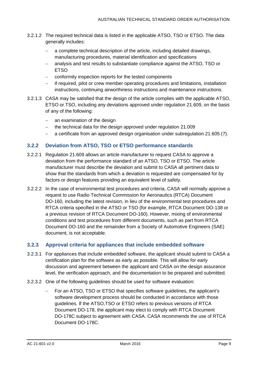- 3.2.1.2 The required technical data is listed in the applicable ATSO, TSO or ETSO. The data generally includes:
	- a complete technical description of the article, including detailed drawings, manufacturing procedures, material identification and specifications
	- − analysis and test results to substantiate compliance against the ATSO, TSO or **ETSO**
	- − conformity inspection reports for the tested components
	- − if required, pilot or crew member operating procedures and limitations, installation instructions, continuing airworthiness instructions and maintenance instructions.
- 3.2.1.3 CASA may be satisfied that the design of the article complies with the applicable ATSO, ETSO or TSO, including any deviations approved under regulation 21.609, on the basis of any of the following:
	- − an examination of the design
	- − the technical data for the design approved under regulation 21.009
	- − a certificate from an approved design organisation under subregulation 21.605 (7).

#### **3.2.2 Deviation from ATSO, TSO or ETSO performance standards**

- 3.2.2.1 Regulation 21.609 allows an article manufacturer to request CASA to approve a deviation from the performance standard of an ATSO, TSO or ETSO. The article manufacturer must describe the deviation and submit to CASA all pertinent data to show that the standards from which a deviation is requested are compensated for by factors or design features providing an equivalent level of safety.
- 3.2.2.2 In the case of environmental test procedures and criteria, CASA will normally approve a request to use Radio Technical Commission for Aeronautics (RTCA) Document DO-160, including the latest revision, in lieu of the environmental test procedures and RTCA criteria specified in the ATSO or TSO (for example, RTCA Document DO-138 or a previous revision of RTCA Document DO-160). However, mixing of environmental conditions and test procedures from different documents, such as part from RTCA Document DO-160 and the remainder from a Society of Automotive Engineers (SAE) document, is not acceptable.

#### **3.2.3 Approval criteria for appliances that include embedded software**

- 3.2.3.1 For appliances that include embedded software, the applicant should submit to CASA a certification plan for the software as early as possible. This will allow for early discussion and agreement between the applicant and CASA on the design assurance level, the verification approach, and the documentation to be prepared and submitted.
- 3.2.3.2 One of the following guidelines should be used for software evaluation:
	- For an ATSO, TSO or ETSO that specifies software guidelines, the applicant's software development process should be conducted in accordance with those guidelines. If the ATSO,TSO or ETSO refers to previous versions of RTCA Document DO-178, the applicant may elect to comply with RTCA Document DO-178C subject to agreement with CASA. CASA recommends the use of RTCA Document DO-178C.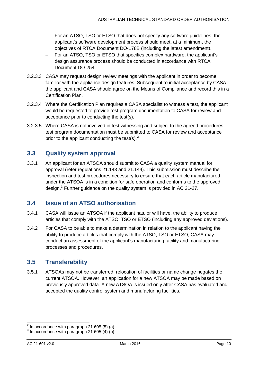- − For an ATSO, TSO or ETSO that does not specify any software guidelines, the applicant's software development process should meet, at a minimum, the objectives of RTCA Document DO-178B (including the latest amendment).
- − For an ATSO, TSO or ETSO that specifies complex hardware, the applicant's design assurance process should be conducted in accordance with RTCA Document DO-254.
- 3.2.3.3 CASA may request design review meetings with the applicant in order to become familiar with the appliance design features. Subsequent to initial acceptance by CASA, the applicant and CASA should agree on the Means of Compliance and record this in a Certification Plan.
- 3.2.3.4 Where the Certification Plan requires a CASA specialist to witness a test, the applicant would be requested to provide test program documentation to CASA for review and acceptance prior to conducting the test(s).
- 3.2.3.5 Where CASA is not involved in test witnessing and subject to the agreed procedures, test program documentation must be submitted to CASA for review and acceptance prior to the applicant conducting the test(s). $<sup>2</sup>$  $<sup>2</sup>$  $<sup>2</sup>$ </sup>

### <span id="page-10-0"></span>**3.3 Quality system approval**

3.3.1 An applicant for an ATSOA should submit to CASA a quality system manual for approval (refer regulations 21.143 and 21.144). This submission must describe the inspection and test procedures necessary to ensure that each article manufactured under the ATSOA is in a condition for safe operation and conforms to the approved design.<sup>[3](#page-10-4)</sup> Further guidance on the quality system is provided in AC 21-27.

### <span id="page-10-1"></span>**3.4 Issue of an ATSO authorisation**

- 3.4.1 CASA will issue an ATSOA if the applicant has, or will have, the ability to produce articles that comply with the ATSO, TSO or ETSO (including any approved deviations).
- 3.4.2 For CASA to be able to make a determination in relation to the applicant having the ability to produce articles that comply with the ATSO, TSO or ETSO, CASA may conduct an assessment of the applicant's manufacturing facility and manufacturing processes and procedures.

### <span id="page-10-2"></span>**3.5 Transferability**

3.5.1 ATSOAs may not be transferred; relocation of facilities or name change negates the current ATSOA. However, an application for a new ATSOA may be made based on previously approved data. A new ATSOA is issued only after CASA has evaluated and accepted the quality control system and manufacturing facilities.

 $\overline{a}$ 

<span id="page-10-3"></span> $2^{2}$  In accordance with paragraph 21.605 (5) (a).

<span id="page-10-4"></span> $3$  In accordance with paragraph 21.605  $(4)$  (b).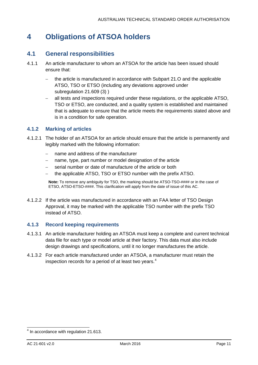# <span id="page-11-0"></span>**4 Obligations of ATSOA holders**

#### <span id="page-11-1"></span>**4.1 General responsibilities**

- 4.1.1 An article manufacturer to whom an ATSOA for the article has been issued should ensure that:
	- − the article is manufactured in accordance with Subpart 21.O and the applicable ATSO, TSO or ETSO (including any deviations approved under subregulation 21.609 (3) )
	- − all tests and inspections required under these regulations, or the applicable ATSO, TSO or ETSO, are conducted, and a quality system is established and maintained that is adequate to ensure that the article meets the requirements stated above and is in a condition for safe operation.

#### **4.1.2 Marking of articles**

- 4.1.2.1 The holder of an ATSOA for an article should ensure that the article is permanently and legibly marked with the following information:
	- − name and address of the manufacturer
	- name, type, part number or model designation of the article
	- serial number or date of manufacture of the article or both
	- − the applicable ATSO, TSO or ETSO number with the prefix ATSO.

**Note:** To remove any ambiguity for TSO, the marking should be ATSO-TSO-#### or in the case of ETSO, ATSO-ETSO-####. This clarification will apply from the date of issue of this AC.

4.1.2.2 If the article was manufactured in accordance with an FAA letter of TSO Design Approval, it may be marked with the applicable TSO number with the prefix TSO instead of ATSO.

#### **4.1.3 Record keeping requirements**

- 4.1.3.1 An article manufacturer holding an ATSOA must keep a complete and current technical data file for each type or model article at their factory. This data must also include design drawings and specifications, until it no longer manufactures the article.
- 4.1.3.2 For each article manufactured under an ATSOA, a manufacturer must retain the inspection records for a period of at least two years.<sup>[4](#page-11-2)</sup>

<span id="page-11-2"></span> $<sup>4</sup>$  In accordance with regulation 21.613.</sup>  $\overline{\phantom{a}}$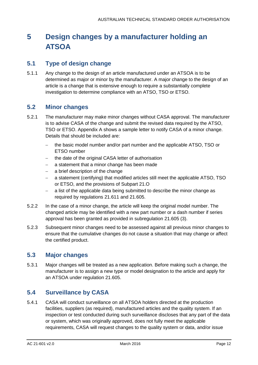# <span id="page-12-0"></span>**5 Design changes by a manufacturer holding an ATSOA**

### <span id="page-12-1"></span>**5.1 Type of design change**

5.1.1 Any change to the design of an article manufactured under an ATSOA is to be determined as major or minor by the manufacturer. A major change to the design of an article is a change that is extensive enough to require a substantially complete investigation to determine compliance with an ATSO, TSO or ETSO.

### <span id="page-12-2"></span>**5.2 Minor changes**

- 5.2.1 The manufacturer may make minor changes without CASA approval. The manufacturer is to advise CASA of the change and submit the revised data required by the ATSO, TSO or ETSO. [Appendix A](#page-15-0) shows a sample letter to notify CASA of a minor change. Details that should be included are:
	- − the basic model number and/or part number and the applicable ATSO, TSO or ETSO number
	- − the date of the original CASA letter of authorisation
	- a statement that a minor change has been made
	- − a brief description of the change
	- a statement (certifying) that modified articles still meet the applicable ATSO, TSO or ETSO, and the provisions of Subpart 21.O
	- − a list of the applicable data being submitted to describe the minor change as required by regulations 21.611 and 21.605.
- 5.2.2 In the case of a minor change, the article will keep the original model number. The changed article may be identified with a new part number or a dash number if series approval has been granted as provided in subregulation 21.605 (3).
- 5.2.3 Subsequent minor changes need to be assessed against all previous minor changes to ensure that the cumulative changes do not cause a situation that may change or affect the certified product.

### <span id="page-12-3"></span>**5.3 Major changes**

5.3.1 Major changes will be treated as a new application. Before making such a change, the manufacturer is to assign a new type or model designation to the article and apply for an ATSOA under regulation 21.605.

### <span id="page-12-4"></span>**5.4 Surveillance by CASA**

5.4.1 CASA will conduct surveillance on all ATSOA holders directed at the production facilities, suppliers (as required), manufactured articles and the quality system. If an inspection or test conducted during such surveillance discloses that any part of the data or system, which was originally approved, does not fully meet the applicable requirements, CASA will request changes to the quality system or data, and/or issue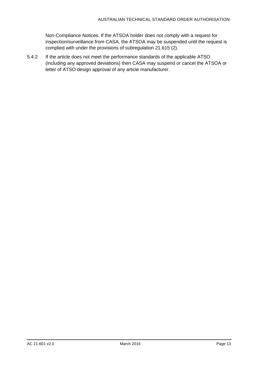Non-Compliance Notices. If the ATSOA holder does not comply with a request for inspection/surveillance from CASA, the ATSOA may be suspended until the request is complied with under the provisions of subregulation 21.615 (2).

5.4.2 If the article does not meet the performance standards of the applicable ATSO (including any approved deviations) then CASA may suspend or cancel the ATSOA or letter of ATSO design approval of any article manufacturer.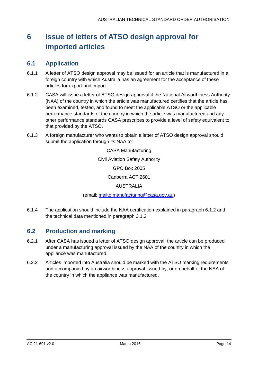# <span id="page-14-0"></span>**6 Issue of letters of ATSO design approval for imported articles**

#### <span id="page-14-1"></span>**6.1 Application**

- 6.1.1 A letter of ATSO design approval may be issued for an article that is manufactured in a foreign country with which Australia has an agreement for the acceptance of these articles for export and import.
- <span id="page-14-3"></span>6.1.2 CASA will issue a letter of ATSO design approval if the National Airworthiness Authority (NAA) of the country in which the article was manufactured certifies that the article has been examined, tested, and found to meet the applicable ATSO or the applicable performance standards of the country in which the article was manufactured and any other performance standards CASA prescribes to provide a level of safety equivalent to that provided by the ATSO.
- 6.1.3 A foreign manufacturer who wants to obtain a letter of ATSO design approval should submit the application through its NAA to:

CASA Manufacturing Civil Aviation Safety Authority GPO Box 2005 Canberra ACT 2601 AUSTRALIA

(email: [mailto:manufacturing@casa.gov.au\)](mailto:manufacturing@casa.gov.au)

6.1.4 The application should include the NAA certification explained in paragraph [6.1.2](#page-14-3) and the technical data mentioned in paragraph [3.1.2.](#page-8-3)

### <span id="page-14-2"></span>**6.2 Production and marking**

- 6.2.1 After CASA has issued a letter of ATSO design approval, the article can be produced under a manufacturing approval issued by the NAA of the country in which the appliance was manufactured.
- 6.2.2 Articles imported into Australia should be marked with the ATSO marking requirements and accompanied by an airworthiness approval issued by, or on behalf of the NAA of the country in which the appliance was manufactured.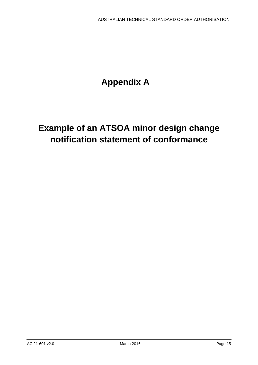# **Appendix A**

# <span id="page-15-0"></span>**Example of an ATSOA minor design change notification statement of conformance**